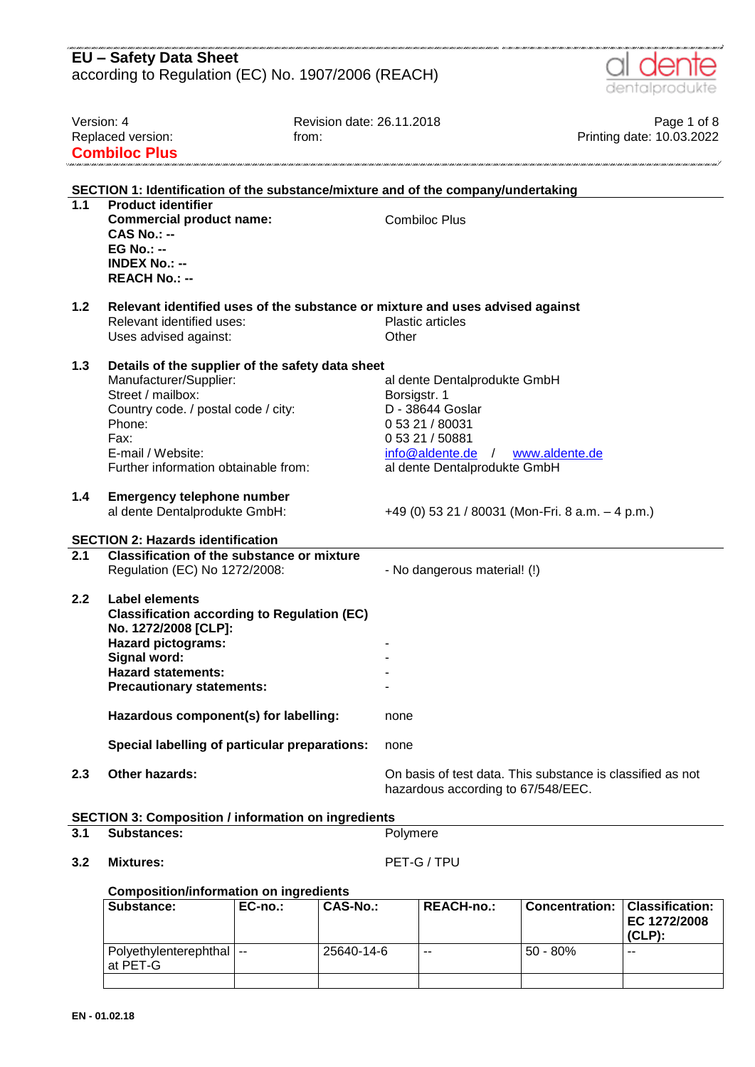|                  | <b>EU - Safety Data Sheet</b>                                                                                                                                                                                                                              |                                                                                                                                                             |                                          |
|------------------|------------------------------------------------------------------------------------------------------------------------------------------------------------------------------------------------------------------------------------------------------------|-------------------------------------------------------------------------------------------------------------------------------------------------------------|------------------------------------------|
|                  | according to Regulation (EC) No. 1907/2006 (REACH)                                                                                                                                                                                                         |                                                                                                                                                             | dentalprodukte                           |
| Version: 4       | Replaced version:<br><b>Combiloc Plus</b>                                                                                                                                                                                                                  | Revision date: 26.11.2018<br>from:                                                                                                                          | Page 1 of 8<br>Printing date: 10.03.2022 |
|                  |                                                                                                                                                                                                                                                            | SECTION 1: Identification of the substance/mixture and of the company/undertaking                                                                           |                                          |
| 1.1              | <b>Product identifier</b><br><b>Commercial product name:</b><br>$CAS No.: -$<br>$EG No.: -$<br><b>INDEX No.: --</b><br><b>REACH No.: --</b>                                                                                                                | <b>Combiloc Plus</b>                                                                                                                                        |                                          |
| 1.2              | Relevant identified uses:<br>Uses advised against:                                                                                                                                                                                                         | Relevant identified uses of the substance or mixture and uses advised against<br><b>Plastic articles</b><br>Other                                           |                                          |
| 1.3              | Details of the supplier of the safety data sheet<br>Manufacturer/Supplier:<br>Street / mailbox:<br>Country code. / postal code / city:<br>Phone:<br>Fax:<br>E-mail / Website:<br>Further information obtainable from:                                      | al dente Dentalprodukte GmbH<br>Borsigstr. 1<br>D - 38644 Goslar<br>0 53 21 / 80031<br>0 53 21 / 50881<br>info@aldente.de /<br>al dente Dentalprodukte GmbH | www.aldente.de                           |
| 1.4              | <b>Emergency telephone number</b><br>al dente Dentalprodukte GmbH:                                                                                                                                                                                         | +49 (0) 53 21 / 80031 (Mon-Fri. 8 a.m. - 4 p.m.)                                                                                                            |                                          |
|                  | <b>SECTION 2: Hazards identification</b>                                                                                                                                                                                                                   |                                                                                                                                                             |                                          |
| $\overline{2.1}$ | <b>Classification of the substance or mixture</b><br>Regulation (EC) No 1272/2008:                                                                                                                                                                         | - No dangerous material! (!)                                                                                                                                |                                          |
| 2.2              | <b>Label elements</b><br><b>Classification according to Regulation (EC)</b><br>No. 1272/2008 [CLP]:<br><b>Hazard pictograms:</b><br>Signal word:<br><b>Hazard statements:</b><br><b>Precautionary statements:</b><br>Hazardous component(s) for labelling: |                                                                                                                                                             |                                          |
|                  |                                                                                                                                                                                                                                                            | none                                                                                                                                                        |                                          |
|                  | Special labelling of particular preparations:                                                                                                                                                                                                              | none                                                                                                                                                        |                                          |
| 2.3              | Other hazards:                                                                                                                                                                                                                                             | On basis of test data. This substance is classified as not<br>hazardous according to 67/548/EEC.                                                            |                                          |
|                  | <b>SECTION 3: Composition / information on ingredients</b>                                                                                                                                                                                                 |                                                                                                                                                             |                                          |
| 3.1              | <b>Substances:</b>                                                                                                                                                                                                                                         | Polymere                                                                                                                                                    |                                          |

**3.2 Mixtures:** PET-G / TPU

### **Composition/information on ingredients**

| Substance:                                 | $EC-no.:$ | <b>CAS-No.:</b> | <b>REACH-no.:</b> | <b>Concentration:</b> | Classification:<br>EC 1272/2008<br>$(CLP)$ : |
|--------------------------------------------|-----------|-----------------|-------------------|-----------------------|----------------------------------------------|
| l Polvethvlenterephthal I --<br>l at PET-G |           | 25640-14-6      | --                | 50 - 80%              | $- -$                                        |
|                                            |           |                 |                   |                       |                                              |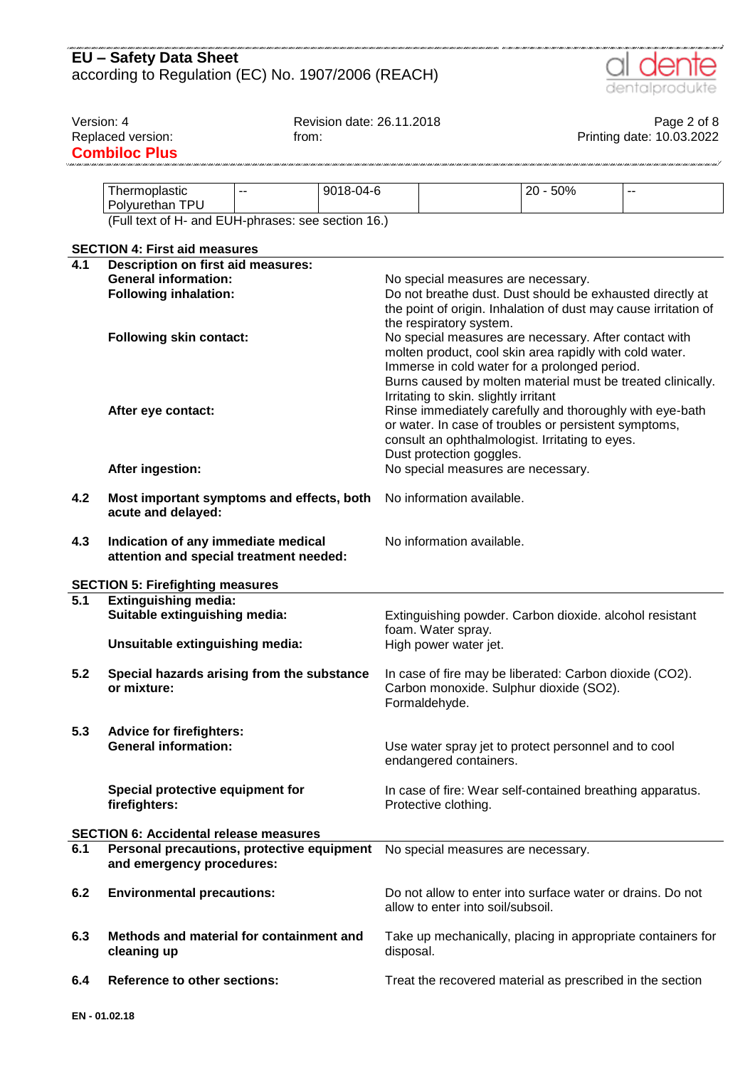

| Version: 4       |                                                                                |                | Revision date: 26.11.2018 |                                                                 |                                       |                                                         | Page 2 of 8                                                 |  |
|------------------|--------------------------------------------------------------------------------|----------------|---------------------------|-----------------------------------------------------------------|---------------------------------------|---------------------------------------------------------|-------------------------------------------------------------|--|
|                  | Replaced version:                                                              | from:          |                           |                                                                 |                                       |                                                         | Printing date: 10.03.2022                                   |  |
|                  | <b>Combiloc Plus</b>                                                           |                |                           |                                                                 |                                       |                                                         |                                                             |  |
|                  |                                                                                |                |                           |                                                                 |                                       |                                                         |                                                             |  |
|                  |                                                                                | $\overline{a}$ | 9018-04-6                 |                                                                 |                                       | 20 - 50%                                                | $-$                                                         |  |
|                  | Thermoplastic                                                                  |                |                           |                                                                 |                                       |                                                         |                                                             |  |
|                  | Polyurethan TPU                                                                |                |                           |                                                                 |                                       |                                                         |                                                             |  |
|                  | (Full text of H- and EUH-phrases: see section 16.)                             |                |                           |                                                                 |                                       |                                                         |                                                             |  |
|                  |                                                                                |                |                           |                                                                 |                                       |                                                         |                                                             |  |
|                  | <b>SECTION 4: First aid measures</b>                                           |                |                           |                                                                 |                                       |                                                         |                                                             |  |
| 4.1              | Description on first aid measures:                                             |                |                           |                                                                 |                                       |                                                         |                                                             |  |
|                  | <b>General information:</b>                                                    |                |                           |                                                                 | No special measures are necessary.    |                                                         |                                                             |  |
|                  | <b>Following inhalation:</b>                                                   |                |                           |                                                                 |                                       |                                                         | Do not breathe dust. Dust should be exhausted directly at   |  |
|                  |                                                                                |                |                           | the point of origin. Inhalation of dust may cause irritation of |                                       |                                                         |                                                             |  |
|                  |                                                                                |                |                           | the respiratory system.                                         |                                       |                                                         |                                                             |  |
|                  | <b>Following skin contact:</b>                                                 |                |                           |                                                                 |                                       | No special measures are necessary. After contact with   |                                                             |  |
|                  |                                                                                |                |                           |                                                                 |                                       | molten product, cool skin area rapidly with cold water. |                                                             |  |
|                  |                                                                                |                |                           |                                                                 |                                       | Immerse in cold water for a prolonged period.           |                                                             |  |
|                  |                                                                                |                |                           |                                                                 |                                       |                                                         | Burns caused by molten material must be treated clinically. |  |
|                  |                                                                                |                |                           |                                                                 | Irritating to skin. slightly irritant |                                                         |                                                             |  |
|                  | After eye contact:                                                             |                |                           |                                                                 |                                       |                                                         | Rinse immediately carefully and thoroughly with eye-bath    |  |
|                  |                                                                                |                |                           |                                                                 |                                       | or water. In case of troubles or persistent symptoms,   |                                                             |  |
|                  |                                                                                |                |                           |                                                                 |                                       | consult an ophthalmologist. Irritating to eyes.         |                                                             |  |
|                  |                                                                                |                |                           | Dust protection goggles.                                        |                                       |                                                         |                                                             |  |
|                  | After ingestion:                                                               |                |                           | No special measures are necessary.                              |                                       |                                                         |                                                             |  |
|                  |                                                                                |                |                           |                                                                 |                                       |                                                         |                                                             |  |
| 4.2              | Most important symptoms and effects, both<br>acute and delayed:                |                |                           |                                                                 | No information available.             |                                                         |                                                             |  |
| 4.3              | Indication of any immediate medical<br>attention and special treatment needed: |                |                           | No information available.                                       |                                       |                                                         |                                                             |  |
|                  |                                                                                |                |                           |                                                                 |                                       |                                                         |                                                             |  |
|                  | <b>SECTION 5: Firefighting measures</b>                                        |                |                           |                                                                 |                                       |                                                         |                                                             |  |
| $\overline{5.1}$ | <b>Extinguishing media:</b>                                                    |                |                           |                                                                 |                                       |                                                         |                                                             |  |
|                  | Suitable extinguishing media:                                                  |                |                           |                                                                 |                                       | Extinguishing powder. Carbon dioxide. alcohol resistant |                                                             |  |
|                  |                                                                                |                |                           |                                                                 | foam. Water spray.                    |                                                         |                                                             |  |
|                  | Unsuitable extinguishing media:                                                |                |                           | High power water jet.                                           |                                       |                                                         |                                                             |  |
|                  |                                                                                |                |                           |                                                                 |                                       |                                                         |                                                             |  |
| 5.2              | Special hazards arising from the substance                                     |                |                           |                                                                 |                                       | In case of fire may be liberated: Carbon dioxide (CO2). |                                                             |  |
|                  | or mixture:                                                                    |                |                           |                                                                 |                                       | Carbon monoxide. Sulphur dioxide (SO2).                 |                                                             |  |
|                  |                                                                                |                |                           |                                                                 | Formaldehyde.                         |                                                         |                                                             |  |
|                  |                                                                                |                |                           |                                                                 |                                       |                                                         |                                                             |  |
| 5.3              | <b>Advice for firefighters:</b>                                                |                |                           |                                                                 |                                       |                                                         |                                                             |  |
|                  | <b>General information:</b>                                                    |                |                           |                                                                 |                                       | Use water spray jet to protect personnel and to cool    |                                                             |  |
|                  |                                                                                |                |                           |                                                                 | endangered containers.                |                                                         |                                                             |  |
|                  |                                                                                |                |                           |                                                                 |                                       |                                                         |                                                             |  |
|                  | Special protective equipment for                                               |                |                           |                                                                 |                                       |                                                         | In case of fire: Wear self-contained breathing apparatus.   |  |
|                  | firefighters:                                                                  |                |                           |                                                                 | Protective clothing.                  |                                                         |                                                             |  |
|                  |                                                                                |                |                           |                                                                 |                                       |                                                         |                                                             |  |
|                  | <b>SECTION 6: Accidental release measures</b>                                  |                |                           |                                                                 |                                       |                                                         |                                                             |  |
| 6.1              | Personal precautions, protective equipment                                     |                |                           |                                                                 | No special measures are necessary.    |                                                         |                                                             |  |
|                  | and emergency procedures:                                                      |                |                           |                                                                 |                                       |                                                         |                                                             |  |
|                  |                                                                                |                |                           |                                                                 |                                       |                                                         |                                                             |  |
| 6.2              | <b>Environmental precautions:</b>                                              |                |                           |                                                                 |                                       |                                                         | Do not allow to enter into surface water or drains. Do not  |  |
|                  |                                                                                |                |                           |                                                                 | allow to enter into soil/subsoil.     |                                                         |                                                             |  |
|                  |                                                                                |                |                           |                                                                 |                                       |                                                         |                                                             |  |
| 6.3              | Methods and material for containment and                                       |                |                           |                                                                 |                                       |                                                         | Take up mechanically, placing in appropriate containers for |  |
|                  | cleaning up                                                                    |                |                           | disposal.                                                       |                                       |                                                         |                                                             |  |
|                  |                                                                                |                |                           |                                                                 |                                       |                                                         |                                                             |  |
| 6.4              | <b>Reference to other sections:</b>                                            |                |                           |                                                                 |                                       |                                                         | Treat the recovered material as prescribed in the section   |  |
|                  |                                                                                |                |                           |                                                                 |                                       |                                                         |                                                             |  |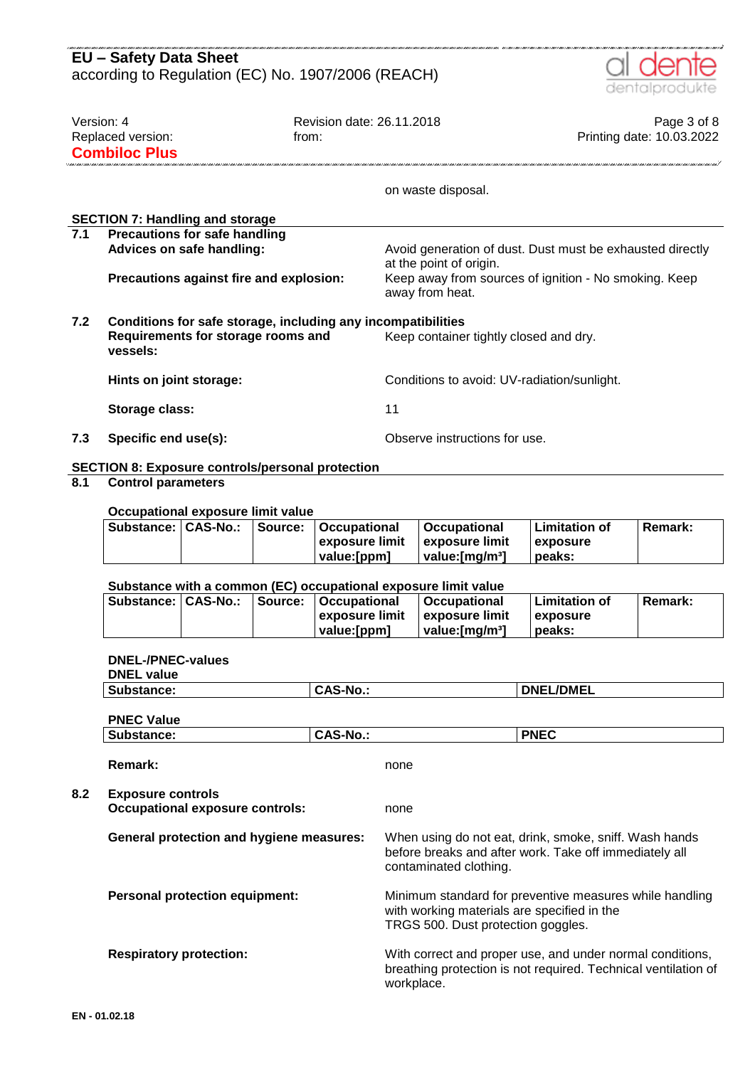|            | <b>EU - Safety Data Sheet</b>                                                                                                                            |                 |         |                                                      |                                                                                                     |                                                                                                                                              |                                            |  |                           |
|------------|----------------------------------------------------------------------------------------------------------------------------------------------------------|-----------------|---------|------------------------------------------------------|-----------------------------------------------------------------------------------------------------|----------------------------------------------------------------------------------------------------------------------------------------------|--------------------------------------------|--|---------------------------|
|            | according to Regulation (EC) No. 1907/2006 (REACH)                                                                                                       |                 |         |                                                      |                                                                                                     |                                                                                                                                              |                                            |  | dentalprodukte            |
| Version: 4 |                                                                                                                                                          |                 |         | Revision date: 26.11.2018                            |                                                                                                     |                                                                                                                                              |                                            |  | Page 3 of 8               |
|            | Replaced version:<br><b>Combiloc Plus</b>                                                                                                                |                 | from:   |                                                      |                                                                                                     |                                                                                                                                              |                                            |  | Printing date: 10.03.2022 |
|            |                                                                                                                                                          |                 |         |                                                      |                                                                                                     |                                                                                                                                              |                                            |  |                           |
|            |                                                                                                                                                          |                 |         |                                                      |                                                                                                     | on waste disposal.                                                                                                                           |                                            |  |                           |
|            | <b>SECTION 7: Handling and storage</b>                                                                                                                   |                 |         |                                                      |                                                                                                     |                                                                                                                                              |                                            |  |                           |
| 7.1        | <b>Precautions for safe handling</b><br>Advices on safe handling:                                                                                        |                 |         |                                                      |                                                                                                     | Avoid generation of dust. Dust must be exhausted directly                                                                                    |                                            |  |                           |
|            | Precautions against fire and explosion:                                                                                                                  |                 |         |                                                      | at the point of origin.<br>Keep away from sources of ignition - No smoking. Keep<br>away from heat. |                                                                                                                                              |                                            |  |                           |
| 7.2        | Conditions for safe storage, including any incompatibilities<br>Requirements for storage rooms and<br>Keep container tightly closed and dry.<br>vessels: |                 |         |                                                      |                                                                                                     |                                                                                                                                              |                                            |  |                           |
|            | Hints on joint storage:                                                                                                                                  |                 |         |                                                      |                                                                                                     | Conditions to avoid: UV-radiation/sunlight.                                                                                                  |                                            |  |                           |
|            | Storage class:                                                                                                                                           |                 |         |                                                      | 11                                                                                                  |                                                                                                                                              |                                            |  |                           |
| 7.3        | Specific end use(s):                                                                                                                                     |                 |         |                                                      |                                                                                                     | Observe instructions for use.                                                                                                                |                                            |  |                           |
|            | <b>SECTION 8: Exposure controls/personal protection</b>                                                                                                  |                 |         |                                                      |                                                                                                     |                                                                                                                                              |                                            |  |                           |
| 8.1        | <b>Control parameters</b>                                                                                                                                |                 |         |                                                      |                                                                                                     |                                                                                                                                              |                                            |  |                           |
|            | Occupational exposure limit value                                                                                                                        |                 |         |                                                      |                                                                                                     |                                                                                                                                              |                                            |  |                           |
|            | Substance:                                                                                                                                               | <b>CAS-No.:</b> | Source: | Occupational<br>exposure limit<br>value:[ppm]        |                                                                                                     | <b>Occupational</b><br>exposure limit<br>value:[mg/m <sup>3</sup> ]                                                                          | <b>Limitation of</b><br>exposure<br>peaks: |  | Remark:                   |
|            |                                                                                                                                                          |                 |         |                                                      |                                                                                                     |                                                                                                                                              |                                            |  |                           |
|            | Substance: CAS-No.:                                                                                                                                      |                 | Source: | <b>Occupational</b><br>exposure limit<br>value:[ppm] |                                                                                                     | Substance with a common (EC) occupational exposure limit value<br>Occupational<br>exposure limit<br>value:[mg/m <sup>3</sup> ]               | <b>Limitation of</b><br>exposure<br>peaks: |  | <b>Remark:</b>            |
|            | <b>DNEL-/PNEC-values</b><br><b>DNEL value</b>                                                                                                            |                 |         |                                                      |                                                                                                     |                                                                                                                                              |                                            |  |                           |
|            | Substance:                                                                                                                                               |                 |         | <b>CAS-No.:</b>                                      |                                                                                                     |                                                                                                                                              | <b>DNEL/DMEL</b>                           |  |                           |
|            | <b>PNEC Value</b>                                                                                                                                        |                 |         |                                                      |                                                                                                     |                                                                                                                                              |                                            |  |                           |
|            | Substance:                                                                                                                                               |                 |         | <b>CAS-No.:</b>                                      |                                                                                                     |                                                                                                                                              | <b>PNEC</b>                                |  |                           |
|            | <b>Remark:</b>                                                                                                                                           |                 |         |                                                      | none                                                                                                |                                                                                                                                              |                                            |  |                           |
| 8.2        | <b>Exposure controls</b><br><b>Occupational exposure controls:</b>                                                                                       |                 |         |                                                      | none                                                                                                |                                                                                                                                              |                                            |  |                           |
|            | <b>General protection and hygiene measures:</b>                                                                                                          |                 |         |                                                      |                                                                                                     | When using do not eat, drink, smoke, sniff. Wash hands<br>before breaks and after work. Take off immediately all<br>contaminated clothing.   |                                            |  |                           |
|            | <b>Personal protection equipment:</b>                                                                                                                    |                 |         |                                                      |                                                                                                     | Minimum standard for preventive measures while handling<br>with working materials are specified in the<br>TRGS 500. Dust protection goggles. |                                            |  |                           |
|            | <b>Respiratory protection:</b>                                                                                                                           |                 |         |                                                      | workplace.                                                                                          | With correct and proper use, and under normal conditions,<br>breathing protection is not required. Technical ventilation of                  |                                            |  |                           |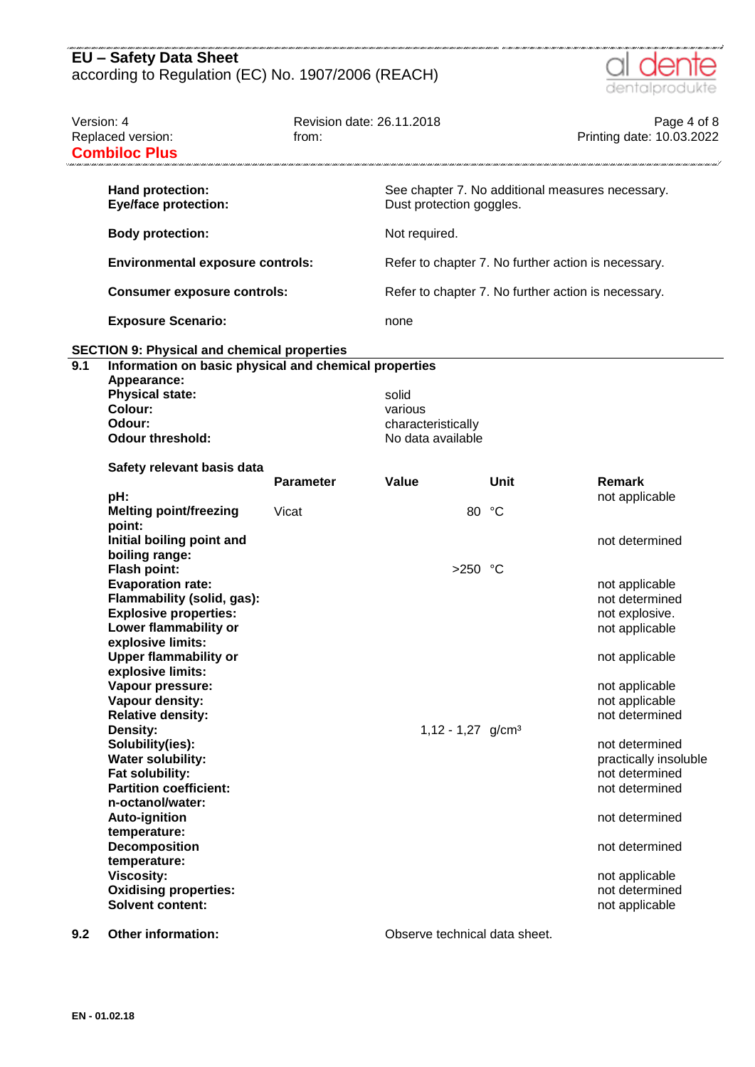

|                  | Version: 4<br>Replaced version:<br><b>Combiloc Plus</b>              | Revision date: 26.11.2018<br>from: |                                 |       | Page 4 of 8<br>Printing date: 10.03.2022            |
|------------------|----------------------------------------------------------------------|------------------------------------|---------------------------------|-------|-----------------------------------------------------|
|                  | Hand protection:<br><b>Eye/face protection:</b>                      |                                    | Dust protection goggles.        |       | See chapter 7. No additional measures necessary.    |
|                  | <b>Body protection:</b>                                              |                                    | Not required.                   |       |                                                     |
|                  | <b>Environmental exposure controls:</b>                              |                                    |                                 |       | Refer to chapter 7. No further action is necessary. |
|                  | <b>Consumer exposure controls:</b>                                   |                                    |                                 |       | Refer to chapter 7. No further action is necessary. |
|                  | <b>Exposure Scenario:</b>                                            |                                    | none                            |       |                                                     |
|                  | <b>SECTION 9: Physical and chemical properties</b>                   |                                    |                                 |       |                                                     |
| $\overline{9.1}$ | Information on basic physical and chemical properties<br>Appearance: |                                    |                                 |       |                                                     |
|                  | <b>Physical state:</b>                                               |                                    | solid                           |       |                                                     |
|                  | Colour:                                                              |                                    | various                         |       |                                                     |
|                  | Odour:                                                               |                                    | characteristically              |       |                                                     |
|                  | <b>Odour threshold:</b>                                              |                                    | No data available               |       |                                                     |
|                  | Safety relevant basis data                                           |                                    |                                 |       |                                                     |
|                  |                                                                      | <b>Parameter</b>                   | Value                           | Unit  | Remark                                              |
|                  | pH:                                                                  |                                    |                                 |       | not applicable                                      |
|                  | <b>Melting point/freezing</b>                                        | Vicat                              |                                 | 80 °C |                                                     |
|                  | point:                                                               |                                    |                                 |       |                                                     |
|                  | Initial boiling point and                                            |                                    |                                 |       | not determined                                      |
|                  | boiling range:                                                       |                                    |                                 |       |                                                     |
|                  | <b>Flash point:</b>                                                  |                                    | $>250$ °C                       |       |                                                     |
|                  | <b>Evaporation rate:</b>                                             |                                    |                                 |       | not applicable                                      |
|                  | Flammability (solid, gas):<br><b>Explosive properties:</b>           |                                    |                                 |       | not determined                                      |
|                  |                                                                      |                                    |                                 |       | not explosive.                                      |
|                  | Lower flammability or<br>explosive limits:                           |                                    |                                 |       | not applicable                                      |
|                  | <b>Upper flammability or</b>                                         |                                    |                                 |       | not applicable                                      |
|                  | explosive limits:                                                    |                                    |                                 |       |                                                     |
|                  | Vapour pressure:                                                     |                                    |                                 |       | not applicable                                      |
|                  | Vapour density:                                                      |                                    |                                 |       | not applicable                                      |
|                  | <b>Relative density:</b>                                             |                                    |                                 |       | not determined                                      |
|                  | Density:                                                             |                                    | $1,12 - 1,27$ g/cm <sup>3</sup> |       |                                                     |
|                  | Solubility(ies):                                                     |                                    |                                 |       | not determined                                      |
|                  | <b>Water solubility:</b>                                             |                                    |                                 |       | practically insoluble                               |
|                  | Fat solubility:                                                      |                                    |                                 |       | not determined                                      |
|                  | <b>Partition coefficient:</b>                                        |                                    |                                 |       | not determined                                      |
|                  | n-octanol/water:                                                     |                                    |                                 |       |                                                     |
|                  | <b>Auto-ignition</b>                                                 |                                    |                                 |       | not determined                                      |
|                  | temperature:                                                         |                                    |                                 |       |                                                     |
|                  | <b>Decomposition</b>                                                 |                                    |                                 |       | not determined                                      |
|                  | temperature:                                                         |                                    |                                 |       |                                                     |
|                  | <b>Viscosity:</b>                                                    |                                    |                                 |       | not applicable                                      |
|                  | <b>Oxidising properties:</b>                                         |                                    |                                 |       | not determined                                      |
|                  | <b>Solvent content:</b>                                              |                                    |                                 |       | not applicable                                      |
|                  |                                                                      |                                    |                                 |       |                                                     |

**9.2 Other information: Observe technical data sheet.**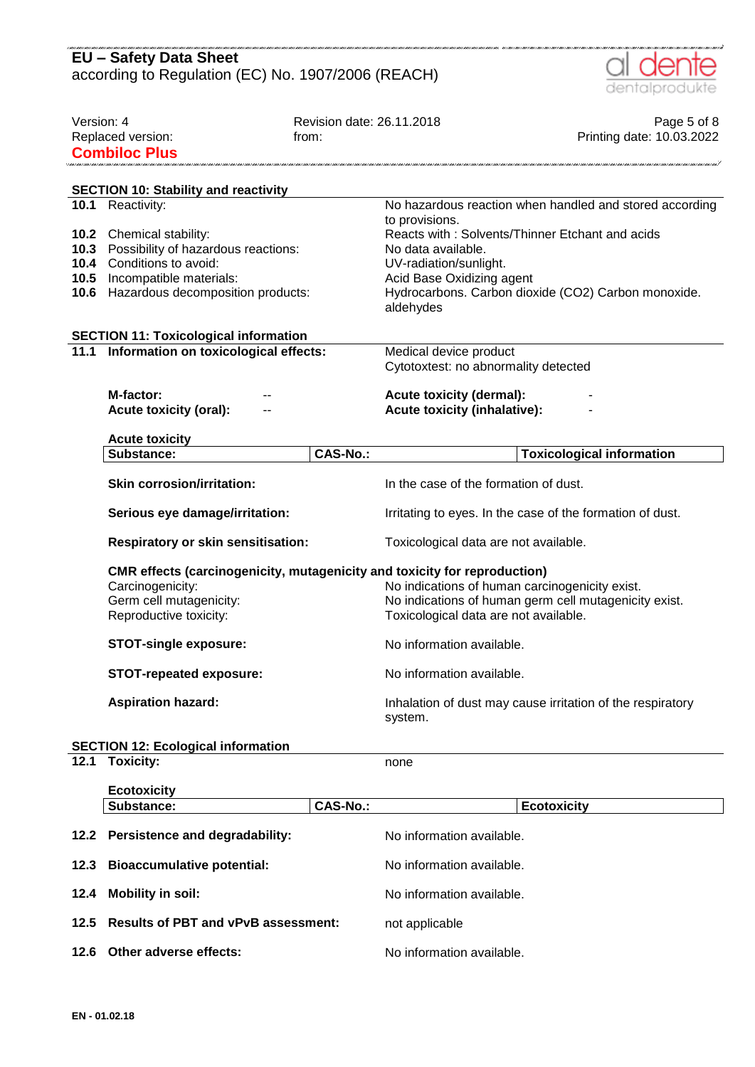|                                                    | <b>EU - Safety Data Sheet</b>                                             |                           |                                                                       |
|----------------------------------------------------|---------------------------------------------------------------------------|---------------------------|-----------------------------------------------------------------------|
| according to Regulation (EC) No. 1907/2006 (REACH) |                                                                           |                           | dentalprodukte                                                        |
|                                                    |                                                                           |                           |                                                                       |
| Version: 4                                         |                                                                           | Revision date: 26.11.2018 | Page 5 of 8                                                           |
|                                                    | Replaced version:                                                         | from:                     | Printing date: 10.03.2022                                             |
|                                                    | <b>Combiloc Plus</b>                                                      |                           |                                                                       |
|                                                    | <b>SECTION 10: Stability and reactivity</b>                               |                           |                                                                       |
|                                                    | 10.1 Reactivity:                                                          |                           | No hazardous reaction when handled and stored according               |
|                                                    |                                                                           |                           | to provisions.                                                        |
| 10.2                                               | Chemical stability:                                                       |                           | Reacts with: Solvents/Thinner Etchant and acids                       |
| 10.3                                               | Possibility of hazardous reactions:                                       |                           | No data available.                                                    |
| 10.4<br>10.5                                       | Conditions to avoid:<br>Incompatible materials:                           |                           | UV-radiation/sunlight.<br>Acid Base Oxidizing agent                   |
|                                                    | <b>10.6</b> Hazardous decomposition products:                             |                           | Hydrocarbons. Carbon dioxide (CO2) Carbon monoxide.                   |
|                                                    |                                                                           |                           | aldehydes                                                             |
|                                                    | <b>SECTION 11: Toxicological information</b>                              |                           |                                                                       |
| 11.1                                               | Information on toxicological effects:                                     |                           | Medical device product                                                |
|                                                    |                                                                           |                           | Cytotoxtest: no abnormality detected                                  |
|                                                    | M-factor:                                                                 |                           | <b>Acute toxicity (dermal):</b>                                       |
|                                                    | <b>Acute toxicity (oral):</b>                                             |                           | <b>Acute toxicity (inhalative):</b>                                   |
|                                                    | <b>Acute toxicity</b>                                                     |                           |                                                                       |
|                                                    | Substance:                                                                | <b>CAS-No.:</b>           | <b>Toxicological information</b>                                      |
|                                                    |                                                                           |                           |                                                                       |
|                                                    | <b>Skin corrosion/irritation:</b>                                         |                           | In the case of the formation of dust.                                 |
|                                                    | Serious eye damage/irritation:                                            |                           | Irritating to eyes. In the case of the formation of dust.             |
|                                                    | Respiratory or skin sensitisation:                                        |                           | Toxicological data are not available.                                 |
|                                                    | CMR effects (carcinogenicity, mutagenicity and toxicity for reproduction) |                           |                                                                       |
|                                                    | Carcinogenicity:                                                          |                           | No indications of human carcinogenicity exist.                        |
|                                                    | Germ cell mutagenicity:                                                   |                           | No indications of human germ cell mutagenicity exist.                 |
|                                                    | Reproductive toxicity:                                                    |                           | Toxicological data are not available.                                 |
|                                                    | <b>STOT-single exposure:</b>                                              |                           | No information available.                                             |
|                                                    | <b>STOT-repeated exposure:</b>                                            |                           | No information available.                                             |
|                                                    | <b>Aspiration hazard:</b>                                                 |                           | Inhalation of dust may cause irritation of the respiratory<br>system. |
|                                                    | <b>SECTION 12: Ecological information</b>                                 |                           |                                                                       |
| 12.1                                               | <b>Toxicity:</b>                                                          |                           | none                                                                  |
|                                                    |                                                                           |                           |                                                                       |
|                                                    | <b>Ecotoxicity</b><br>Substance:                                          | <b>CAS-No.:</b>           | <b>Ecotoxicity</b>                                                    |
|                                                    |                                                                           |                           |                                                                       |
| 12.2                                               | Persistence and degradability:                                            |                           | No information available.                                             |
| 12.3                                               | <b>Bioaccumulative potential:</b>                                         |                           | No information available.                                             |
| 12.4                                               | <b>Mobility in soil:</b>                                                  |                           | No information available.                                             |
| 12.5                                               | <b>Results of PBT and vPvB assessment:</b>                                |                           | not applicable                                                        |

**12.6 Other adverse effects:** No information available.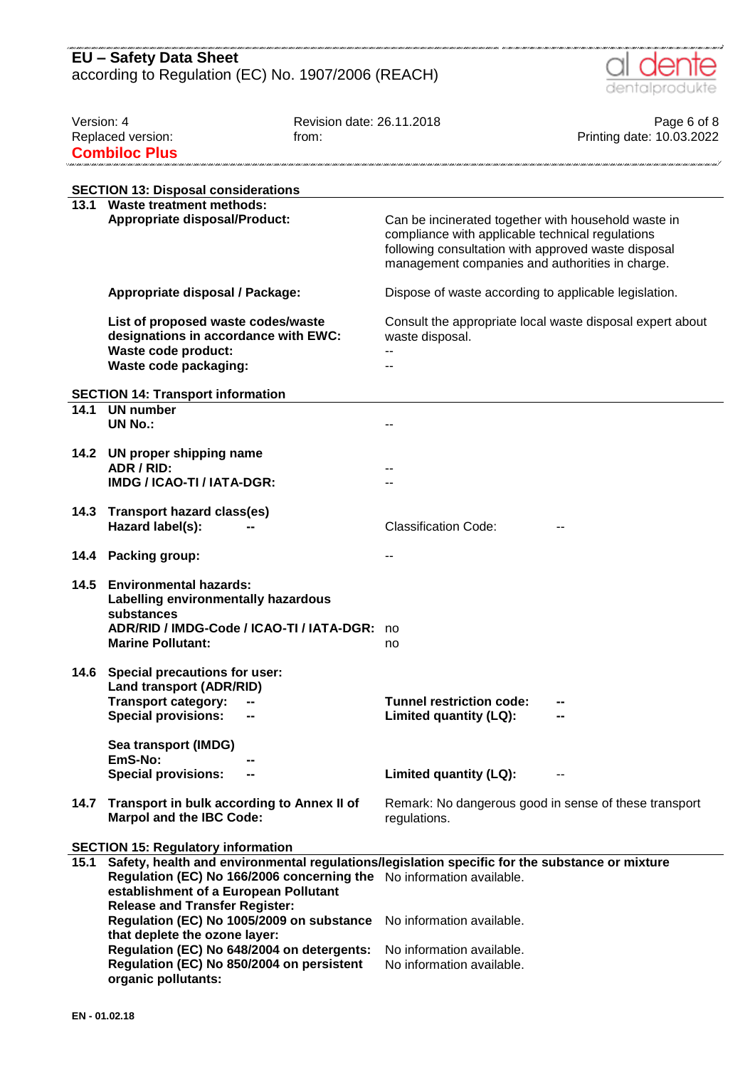

| Version: 4<br>Replaced version:<br><b>Combiloc Plus</b> |                                                                                                                                                                                                                                                          | Revision date: 26.11.2018<br>from: |                                                                                                                                                                                                                   | Page 6 of 8<br>Printing date: 10.03.2022 |
|---------------------------------------------------------|----------------------------------------------------------------------------------------------------------------------------------------------------------------------------------------------------------------------------------------------------------|------------------------------------|-------------------------------------------------------------------------------------------------------------------------------------------------------------------------------------------------------------------|------------------------------------------|
|                                                         | <b>SECTION 13: Disposal considerations</b>                                                                                                                                                                                                               |                                    |                                                                                                                                                                                                                   |                                          |
|                                                         | 13.1 Waste treatment methods:<br><b>Appropriate disposal/Product:</b>                                                                                                                                                                                    |                                    | Can be incinerated together with household waste in<br>compliance with applicable technical regulations<br>following consultation with approved waste disposal<br>management companies and authorities in charge. |                                          |
|                                                         | Appropriate disposal / Package:                                                                                                                                                                                                                          |                                    | Dispose of waste according to applicable legislation.                                                                                                                                                             |                                          |
|                                                         | List of proposed waste codes/waste<br>designations in accordance with EWC:<br>Waste code product:<br>Waste code packaging:                                                                                                                               |                                    | Consult the appropriate local waste disposal expert about<br>waste disposal.                                                                                                                                      |                                          |
|                                                         | <b>SECTION 14: Transport information</b>                                                                                                                                                                                                                 |                                    |                                                                                                                                                                                                                   |                                          |
| 14.1                                                    | <b>UN number</b><br><b>UN No.:</b>                                                                                                                                                                                                                       |                                    |                                                                                                                                                                                                                   |                                          |
| 14.2                                                    | UN proper shipping name<br>ADR / RID:<br>IMDG / ICAO-TI / IATA-DGR:                                                                                                                                                                                      |                                    |                                                                                                                                                                                                                   |                                          |
| 14.3                                                    | <b>Transport hazard class(es)</b><br>Hazard label(s):                                                                                                                                                                                                    |                                    | <b>Classification Code:</b>                                                                                                                                                                                       |                                          |
| 14.4                                                    | <b>Packing group:</b>                                                                                                                                                                                                                                    |                                    |                                                                                                                                                                                                                   |                                          |
| 14.5                                                    | <b>Environmental hazards:</b><br>Labelling environmentally hazardous<br>substances<br>ADR/RID / IMDG-Code / ICAO-TI / IATA-DGR:<br><b>Marine Pollutant:</b>                                                                                              |                                    | no<br>no                                                                                                                                                                                                          |                                          |
| 14.6                                                    | Special precautions for user:<br>Land transport (ADR/RID)<br><b>Transport category:</b><br><b>Special provisions:</b><br>Sea transport (IMDG)<br>EmS-No:<br><b>Special provisions:</b><br>--                                                             |                                    | <b>Tunnel restriction code:</b><br>Limited quantity (LQ):<br>Limited quantity (LQ):                                                                                                                               |                                          |
| 14.7                                                    | Transport in bulk according to Annex II of                                                                                                                                                                                                               |                                    | Remark: No dangerous good in sense of these transport                                                                                                                                                             |                                          |
|                                                         | <b>Marpol and the IBC Code:</b>                                                                                                                                                                                                                          |                                    | regulations.                                                                                                                                                                                                      |                                          |
|                                                         | <b>SECTION 15: Regulatory information</b>                                                                                                                                                                                                                |                                    |                                                                                                                                                                                                                   |                                          |
| 15.1                                                    | Safety, health and environmental regulations/legislation specific for the substance or mixture<br>Regulation (EC) No 166/2006 concerning the No information available.<br>establishment of a European Pollutant<br><b>Release and Transfer Register:</b> |                                    |                                                                                                                                                                                                                   |                                          |
|                                                         | Regulation (EC) No 1005/2009 on substance<br>that deplete the ozone layer:                                                                                                                                                                               |                                    | No information available.                                                                                                                                                                                         |                                          |
|                                                         | Regulation (EC) No 648/2004 on detergents:<br>Regulation (EC) No 850/2004 on persistent<br>organic pollutants:                                                                                                                                           |                                    | No information available.<br>No information available.                                                                                                                                                            |                                          |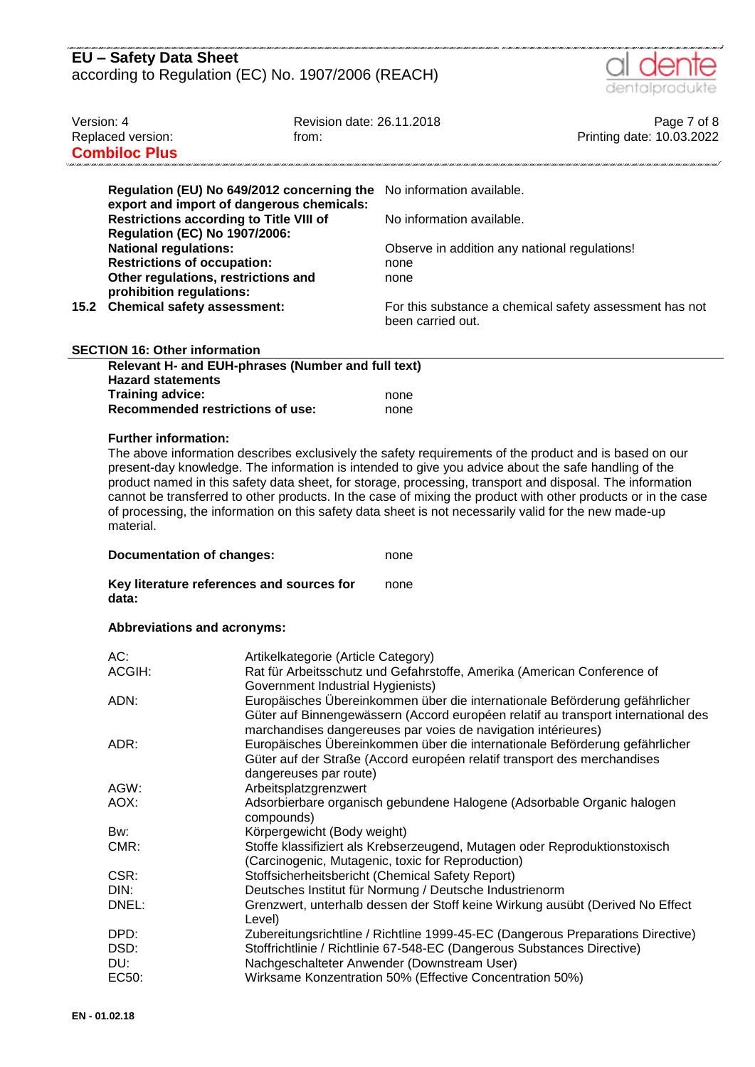| - ONE CHALLERY HALLING HALLING HALLING HALLING HALLING HALLING HALLING HALLING HALLING HALLING HALLING HALLING HALLING HALLING HALLING HALLING HALLING HALLING HALLING HALLING HALLING HALLING HALLING HALLING HALLING HALL<br>EU - Safety Data Sheet |
|-------------------------------------------------------------------------------------------------------------------------------------------------------------------------------------------------------------------------------------------------------|
| according to Regulation (EC) No. 1907/2006 (REACH)                                                                                                                                                                                                    |



| Version: 4 | Replaced version:<br><b>Combiloc Plus</b>                                                                                                                                                                                                                                                                        | Revision date: 26.11.2018<br>from:                                       |                                                                                                                                                                                                                                                                                                                                                                                                                                                             | Page 7 of 8<br>Printing date: 10.03.2022 |
|------------|------------------------------------------------------------------------------------------------------------------------------------------------------------------------------------------------------------------------------------------------------------------------------------------------------------------|--------------------------------------------------------------------------|-------------------------------------------------------------------------------------------------------------------------------------------------------------------------------------------------------------------------------------------------------------------------------------------------------------------------------------------------------------------------------------------------------------------------------------------------------------|------------------------------------------|
|            | export and import of dangerous chemicals:<br><b>Restrictions according to Title VIII of</b><br><b>Regulation (EC) No 1907/2006:</b><br><b>National regulations:</b><br><b>Restrictions of occupation:</b><br>Other regulations, restrictions and<br>prohibition regulations:<br>15.2 Chemical safety assessment: | Regulation (EU) No 649/2012 concerning the                               | No information available.<br>No information available.<br>Observe in addition any national regulations!<br>none<br>none<br>For this substance a chemical safety assessment has not<br>been carried out.                                                                                                                                                                                                                                                     |                                          |
|            |                                                                                                                                                                                                                                                                                                                  |                                                                          |                                                                                                                                                                                                                                                                                                                                                                                                                                                             |                                          |
|            | <b>SECTION 16: Other information</b>                                                                                                                                                                                                                                                                             |                                                                          |                                                                                                                                                                                                                                                                                                                                                                                                                                                             |                                          |
|            | <b>Hazard statements</b>                                                                                                                                                                                                                                                                                         | Relevant H- and EUH-phrases (Number and full text)                       |                                                                                                                                                                                                                                                                                                                                                                                                                                                             |                                          |
|            | Training advice:                                                                                                                                                                                                                                                                                                 |                                                                          | none                                                                                                                                                                                                                                                                                                                                                                                                                                                        |                                          |
|            | <b>Recommended restrictions of use:</b>                                                                                                                                                                                                                                                                          |                                                                          | none                                                                                                                                                                                                                                                                                                                                                                                                                                                        |                                          |
|            |                                                                                                                                                                                                                                                                                                                  |                                                                          |                                                                                                                                                                                                                                                                                                                                                                                                                                                             |                                          |
|            | material.<br><b>Documentation of changes:</b><br>Key literature references and sources for                                                                                                                                                                                                                       |                                                                          | present-day knowledge. The information is intended to give you advice about the safe handling of the<br>product named in this safety data sheet, for storage, processing, transport and disposal. The information<br>cannot be transferred to other products. In the case of mixing the product with other products or in the case<br>of processing, the information on this safety data sheet is not necessarily valid for the new made-up<br>none<br>none |                                          |
|            | data:                                                                                                                                                                                                                                                                                                            |                                                                          |                                                                                                                                                                                                                                                                                                                                                                                                                                                             |                                          |
|            | Abbreviations and acronyms:                                                                                                                                                                                                                                                                                      |                                                                          |                                                                                                                                                                                                                                                                                                                                                                                                                                                             |                                          |
|            | AC:<br>ACGIH:<br>ADN:                                                                                                                                                                                                                                                                                            | Artikelkategorie (Article Category)<br>Government Industrial Hygienists) | Rat für Arbeitsschutz und Gefahrstoffe, Amerika (American Conference of<br>Europäisches Übereinkommen über die internationale Beförderung gefährlicher<br>Güter auf Binnengewässern (Accord européen relatif au transport international des                                                                                                                                                                                                                 |                                          |
|            | ADR:                                                                                                                                                                                                                                                                                                             | dangereuses par route)                                                   | marchandises dangereuses par voies de navigation intérieures)<br>Europäisches Übereinkommen über die internationale Beförderung gefährlicher<br>Güter auf der Straße (Accord européen relatif transport des merchandises                                                                                                                                                                                                                                    |                                          |
|            | AGW:                                                                                                                                                                                                                                                                                                             | Arbeitsplatzgrenzwert                                                    |                                                                                                                                                                                                                                                                                                                                                                                                                                                             |                                          |
|            | AOX:                                                                                                                                                                                                                                                                                                             |                                                                          | Adsorbierbare organisch gebundene Halogene (Adsorbable Organic halogen                                                                                                                                                                                                                                                                                                                                                                                      |                                          |
|            | Bw:                                                                                                                                                                                                                                                                                                              | compounds)<br>Körpergewicht (Body weight)                                |                                                                                                                                                                                                                                                                                                                                                                                                                                                             |                                          |
|            | CMR:                                                                                                                                                                                                                                                                                                             |                                                                          | Stoffe klassifiziert als Krebserzeugend, Mutagen oder Reproduktionstoxisch<br>(Carcinogenic, Mutagenic, toxic for Reproduction)                                                                                                                                                                                                                                                                                                                             |                                          |
|            | CSR:                                                                                                                                                                                                                                                                                                             |                                                                          | Stoffsicherheitsbericht (Chemical Safety Report)                                                                                                                                                                                                                                                                                                                                                                                                            |                                          |
|            | DIN:                                                                                                                                                                                                                                                                                                             |                                                                          | Deutsches Institut für Normung / Deutsche Industrienorm                                                                                                                                                                                                                                                                                                                                                                                                     |                                          |
|            | DNEL:                                                                                                                                                                                                                                                                                                            | l evel)                                                                  | Grenzwert, unterhalb dessen der Stoff keine Wirkung ausübt (Derived No Effect                                                                                                                                                                                                                                                                                                                                                                               |                                          |